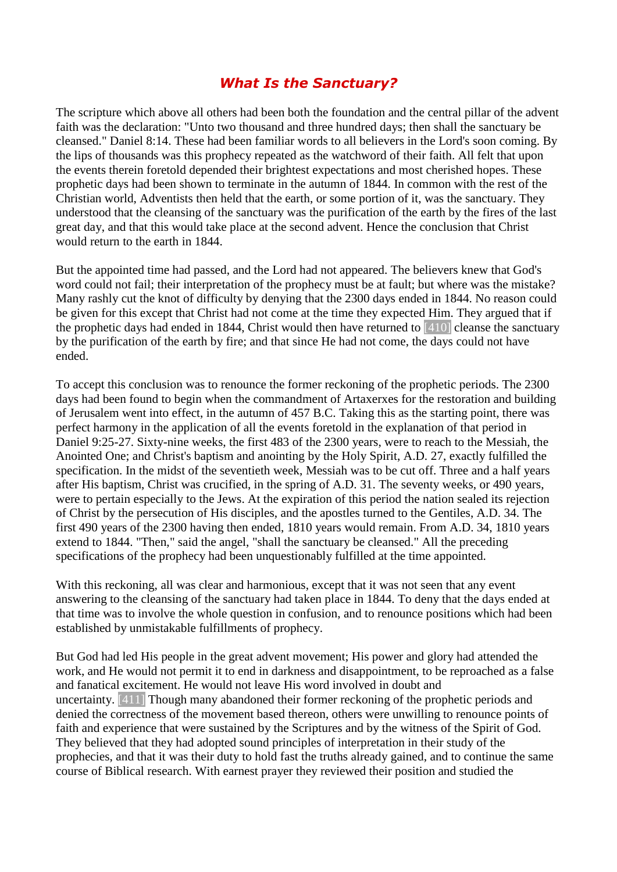## *What Is the Sanctuary?*

The scripture which above all others had been both the foundation and the central pillar of the advent faith was the declaration: "Unto two thousand and three hundred days; then shall the sanctuary be cleansed." Daniel 8:14. These had been familiar words to all believers in the Lord's soon coming. By the lips of thousands was this prophecy repeated as the watchword of their faith. All felt that upon the events therein foretold depended their brightest expectations and most cherished hopes. These prophetic days had been shown to terminate in the autumn of 1844. In common with the rest of the Christian world, Adventists then held that the earth, or some portion of it, was the sanctuary. They understood that the cleansing of the sanctuary was the purification of the earth by the fires of the last great day, and that this would take place at the second advent. Hence the conclusion that Christ would return to the earth in 1844.

But the appointed time had passed, and the Lord had not appeared. The believers knew that God's word could not fail; their interpretation of the prophecy must be at fault; but where was the mistake? Many rashly cut the knot of difficulty by denying that the 2300 days ended in 1844. No reason could be given for this except that Christ had not come at the time they expected Him. They argued that if the prophetic days had ended in 1844, Christ would then have returned to [410] cleanse the sanctuary by the purification of the earth by fire; and that since He had not come, the days could not have ended.

To accept this conclusion was to renounce the former reckoning of the prophetic periods. The 2300 days had been found to begin when the commandment of Artaxerxes for the restoration and building of Jerusalem went into effect, in the autumn of 457 B.C. Taking this as the starting point, there was perfect harmony in the application of all the events foretold in the explanation of that period in Daniel 9:25-27. Sixty-nine weeks, the first 483 of the 2300 years, were to reach to the Messiah, the Anointed One; and Christ's baptism and anointing by the Holy Spirit, A.D. 27, exactly fulfilled the specification. In the midst of the seventieth week, Messiah was to be cut off. Three and a half years after His baptism, Christ was crucified, in the spring of A.D. 31. The seventy weeks, or 490 years, were to pertain especially to the Jews. At the expiration of this period the nation sealed its rejection of Christ by the persecution of His disciples, and the apostles turned to the Gentiles, A.D. 34. The first 490 years of the 2300 having then ended, 1810 years would remain. From A.D. 34, 1810 years extend to 1844. "Then," said the angel, "shall the sanctuary be cleansed." All the preceding specifications of the prophecy had been unquestionably fulfilled at the time appointed.

With this reckoning, all was clear and harmonious, except that it was not seen that any event answering to the cleansing of the sanctuary had taken place in 1844. To deny that the days ended at that time was to involve the whole question in confusion, and to renounce positions which had been established by unmistakable fulfillments of prophecy.

But God had led His people in the great advent movement; His power and glory had attended the work, and He would not permit it to end in darkness and disappointment, to be reproached as a false and fanatical excitement. He would not leave His word involved in doubt and uncertainty. [411] Though many abandoned their former reckoning of the prophetic periods and denied the correctness of the movement based thereon, others were unwilling to renounce points of faith and experience that were sustained by the Scriptures and by the witness of the Spirit of God. They believed that they had adopted sound principles of interpretation in their study of the prophecies, and that it was their duty to hold fast the truths already gained, and to continue the same course of Biblical research. With earnest prayer they reviewed their position and studied the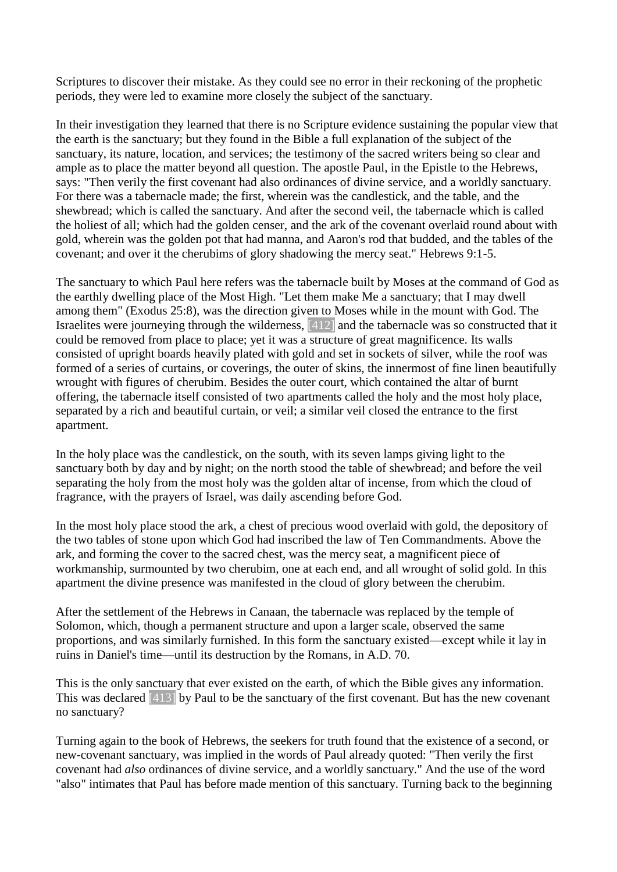Scriptures to discover their mistake. As they could see no error in their reckoning of the prophetic periods, they were led to examine more closely the subject of the sanctuary.

In their investigation they learned that there is no Scripture evidence sustaining the popular view that the earth is the sanctuary; but they found in the Bible a full explanation of the subject of the sanctuary, its nature, location, and services; the testimony of the sacred writers being so clear and ample as to place the matter beyond all question. The apostle Paul, in the Epistle to the Hebrews, says: "Then verily the first covenant had also ordinances of divine service, and a worldly sanctuary. For there was a tabernacle made; the first, wherein was the candlestick, and the table, and the shewbread; which is called the sanctuary. And after the second veil, the tabernacle which is called the holiest of all; which had the golden censer, and the ark of the covenant overlaid round about with gold, wherein was the golden pot that had manna, and Aaron's rod that budded, and the tables of the covenant; and over it the cherubims of glory shadowing the mercy seat." Hebrews 9:1-5.

The sanctuary to which Paul here refers was the tabernacle built by Moses at the command of God as the earthly dwelling place of the Most High. "Let them make Me a sanctuary; that I may dwell among them" (Exodus 25:8), was the direction given to Moses while in the mount with God. The Israelites were journeying through the wilderness, [412] and the tabernacle was so constructed that it could be removed from place to place; yet it was a structure of great magnificence. Its walls consisted of upright boards heavily plated with gold and set in sockets of silver, while the roof was formed of a series of curtains, or coverings, the outer of skins, the innermost of fine linen beautifully wrought with figures of cherubim. Besides the outer court, which contained the altar of burnt offering, the tabernacle itself consisted of two apartments called the holy and the most holy place, separated by a rich and beautiful curtain, or veil; a similar veil closed the entrance to the first apartment.

In the holy place was the candlestick, on the south, with its seven lamps giving light to the sanctuary both by day and by night; on the north stood the table of shewbread; and before the veil separating the holy from the most holy was the golden altar of incense, from which the cloud of fragrance, with the prayers of Israel, was daily ascending before God.

In the most holy place stood the ark, a chest of precious wood overlaid with gold, the depository of the two tables of stone upon which God had inscribed the law of Ten Commandments. Above the ark, and forming the cover to the sacred chest, was the mercy seat, a magnificent piece of workmanship, surmounted by two cherubim, one at each end, and all wrought of solid gold. In this apartment the divine presence was manifested in the cloud of glory between the cherubim.

After the settlement of the Hebrews in Canaan, the tabernacle was replaced by the temple of Solomon, which, though a permanent structure and upon a larger scale, observed the same proportions, and was similarly furnished. In this form the sanctuary existed—except while it lay in ruins in Daniel's time—until its destruction by the Romans, in A.D. 70.

This is the only sanctuary that ever existed on the earth, of which the Bible gives any information. This was declared [413] by Paul to be the sanctuary of the first covenant. But has the new covenant no sanctuary?

Turning again to the book of Hebrews, the seekers for truth found that the existence of a second, or new-covenant sanctuary, was implied in the words of Paul already quoted: "Then verily the first covenant had *also* ordinances of divine service, and a worldly sanctuary." And the use of the word "also" intimates that Paul has before made mention of this sanctuary. Turning back to the beginning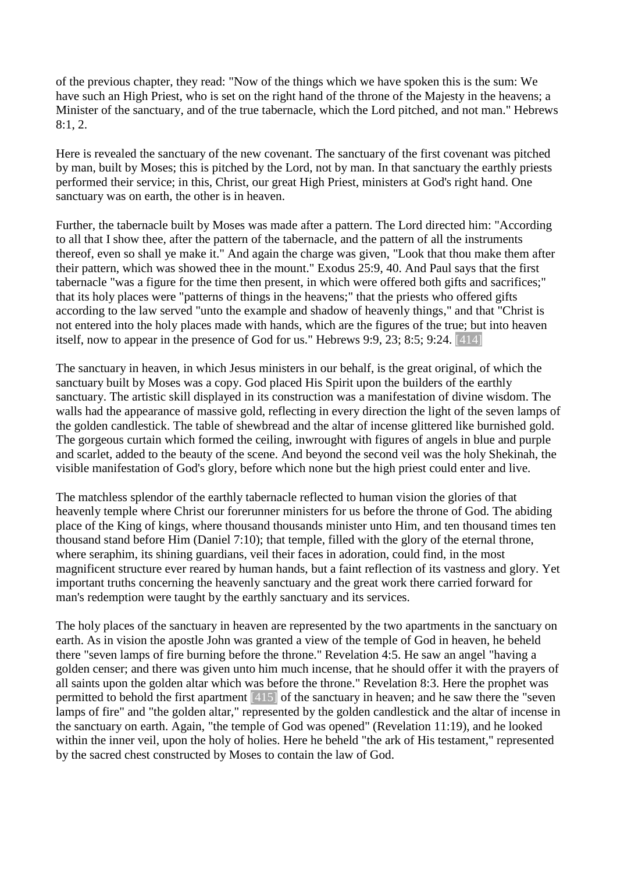of the previous chapter, they read: "Now of the things which we have spoken this is the sum: We have such an High Priest, who is set on the right hand of the throne of the Majesty in the heavens; a Minister of the sanctuary, and of the true tabernacle, which the Lord pitched, and not man." Hebrews 8:1, 2.

Here is revealed the sanctuary of the new covenant. The sanctuary of the first covenant was pitched by man, built by Moses; this is pitched by the Lord, not by man. In that sanctuary the earthly priests performed their service; in this, Christ, our great High Priest, ministers at God's right hand. One sanctuary was on earth, the other is in heaven.

Further, the tabernacle built by Moses was made after a pattern. The Lord directed him: "According to all that I show thee, after the pattern of the tabernacle, and the pattern of all the instruments thereof, even so shall ye make it." And again the charge was given, "Look that thou make them after their pattern, which was showed thee in the mount." Exodus 25:9, 40. And Paul says that the first tabernacle "was a figure for the time then present, in which were offered both gifts and sacrifices;" that its holy places were "patterns of things in the heavens;" that the priests who offered gifts according to the law served "unto the example and shadow of heavenly things," and that "Christ is not entered into the holy places made with hands, which are the figures of the true; but into heaven itself, now to appear in the presence of God for us." Hebrews 9:9, 23; 8:5; 9:24. [414]

The sanctuary in heaven, in which Jesus ministers in our behalf, is the great original, of which the sanctuary built by Moses was a copy. God placed His Spirit upon the builders of the earthly sanctuary. The artistic skill displayed in its construction was a manifestation of divine wisdom. The walls had the appearance of massive gold, reflecting in every direction the light of the seven lamps of the golden candlestick. The table of shewbread and the altar of incense glittered like burnished gold. The gorgeous curtain which formed the ceiling, inwrought with figures of angels in blue and purple and scarlet, added to the beauty of the scene. And beyond the second veil was the holy Shekinah, the visible manifestation of God's glory, before which none but the high priest could enter and live.

The matchless splendor of the earthly tabernacle reflected to human vision the glories of that heavenly temple where Christ our forerunner ministers for us before the throne of God. The abiding place of the King of kings, where thousand thousands minister unto Him, and ten thousand times ten thousand stand before Him (Daniel 7:10); that temple, filled with the glory of the eternal throne, where seraphim, its shining guardians, veil their faces in adoration, could find, in the most magnificent structure ever reared by human hands, but a faint reflection of its vastness and glory. Yet important truths concerning the heavenly sanctuary and the great work there carried forward for man's redemption were taught by the earthly sanctuary and its services.

The holy places of the sanctuary in heaven are represented by the two apartments in the sanctuary on earth. As in vision the apostle John was granted a view of the temple of God in heaven, he beheld there "seven lamps of fire burning before the throne." Revelation 4:5. He saw an angel "having a golden censer; and there was given unto him much incense, that he should offer it with the prayers of all saints upon the golden altar which was before the throne." Revelation 8:3. Here the prophet was permitted to behold the first apartment [415] of the sanctuary in heaven; and he saw there the "seven lamps of fire" and "the golden altar," represented by the golden candlestick and the altar of incense in the sanctuary on earth. Again, "the temple of God was opened" (Revelation 11:19), and he looked within the inner veil, upon the holy of holies. Here he beheld "the ark of His testament," represented by the sacred chest constructed by Moses to contain the law of God.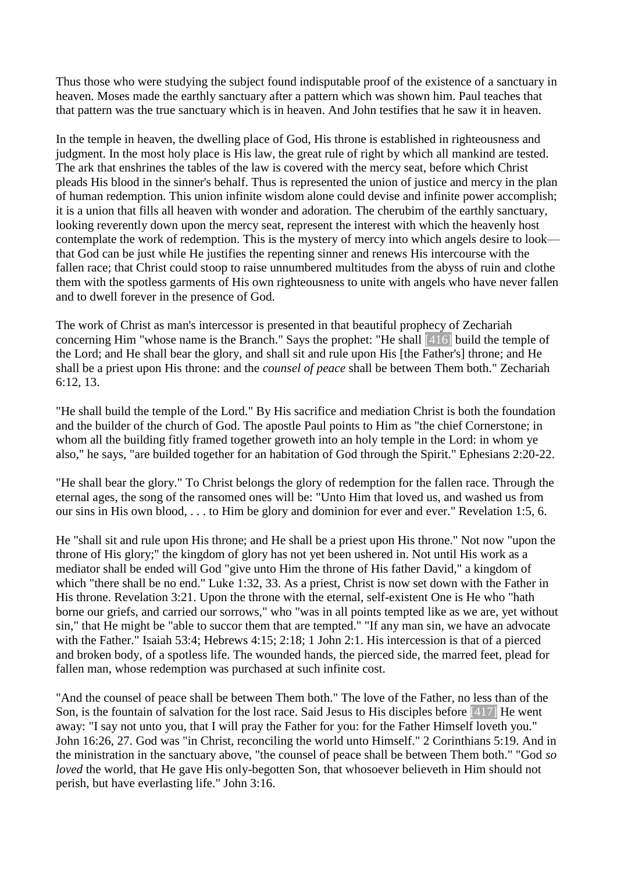Thus those who were studying the subject found indisputable proof of the existence of a sanctuary in heaven. Moses made the earthly sanctuary after a pattern which was shown him. Paul teaches that that pattern was the true sanctuary which is in heaven. And John testifies that he saw it in heaven.

In the temple in heaven, the dwelling place of God, His throne is established in righteousness and judgment. In the most holy place is His law, the great rule of right by which all mankind are tested. The ark that enshrines the tables of the law is covered with the mercy seat, before which Christ pleads His blood in the sinner's behalf. Thus is represented the union of justice and mercy in the plan of human redemption. This union infinite wisdom alone could devise and infinite power accomplish; it is a union that fills all heaven with wonder and adoration. The cherubim of the earthly sanctuary, looking reverently down upon the mercy seat, represent the interest with which the heavenly host contemplate the work of redemption. This is the mystery of mercy into which angels desire to look that God can be just while He justifies the repenting sinner and renews His intercourse with the fallen race; that Christ could stoop to raise unnumbered multitudes from the abyss of ruin and clothe them with the spotless garments of His own righteousness to unite with angels who have never fallen and to dwell forever in the presence of God.

The work of Christ as man's intercessor is presented in that beautiful prophecy of Zechariah concerning Him "whose name is the Branch." Says the prophet: "He shall [416] build the temple of the Lord; and He shall bear the glory, and shall sit and rule upon His [the Father's] throne; and He shall be a priest upon His throne: and the *counsel of peace* shall be between Them both." Zechariah 6:12, 13.

"He shall build the temple of the Lord." By His sacrifice and mediation Christ is both the foundation and the builder of the church of God. The apostle Paul points to Him as "the chief Cornerstone; in whom all the building fitly framed together groweth into an holy temple in the Lord: in whom ye also," he says, "are builded together for an habitation of God through the Spirit." Ephesians 2:20-22.

"He shall bear the glory." To Christ belongs the glory of redemption for the fallen race. Through the eternal ages, the song of the ransomed ones will be: "Unto Him that loved us, and washed us from our sins in His own blood, . . . to Him be glory and dominion for ever and ever." Revelation 1:5, 6.

He "shall sit and rule upon His throne; and He shall be a priest upon His throne." Not now "upon the throne of His glory;" the kingdom of glory has not yet been ushered in. Not until His work as a mediator shall be ended will God "give unto Him the throne of His father David," a kingdom of which "there shall be no end." Luke 1:32, 33. As a priest, Christ is now set down with the Father in His throne. Revelation 3:21. Upon the throne with the eternal, self-existent One is He who "hath borne our griefs, and carried our sorrows," who "was in all points tempted like as we are, yet without sin," that He might be "able to succor them that are tempted." "If any man sin, we have an advocate with the Father." Isaiah 53:4; Hebrews 4:15; 2:18; 1 John 2:1. His intercession is that of a pierced and broken body, of a spotless life. The wounded hands, the pierced side, the marred feet, plead for fallen man, whose redemption was purchased at such infinite cost.

"And the counsel of peace shall be between Them both." The love of the Father, no less than of the Son, is the fountain of salvation for the lost race. Said Jesus to His disciples before [417] He went away: "I say not unto you, that I will pray the Father for you: for the Father Himself loveth you." John 16:26, 27. God was "in Christ, reconciling the world unto Himself." 2 Corinthians 5:19. And in the ministration in the sanctuary above, "the counsel of peace shall be between Them both." "God *so loved* the world, that He gave His only-begotten Son, that whosoever believeth in Him should not perish, but have everlasting life." John 3:16.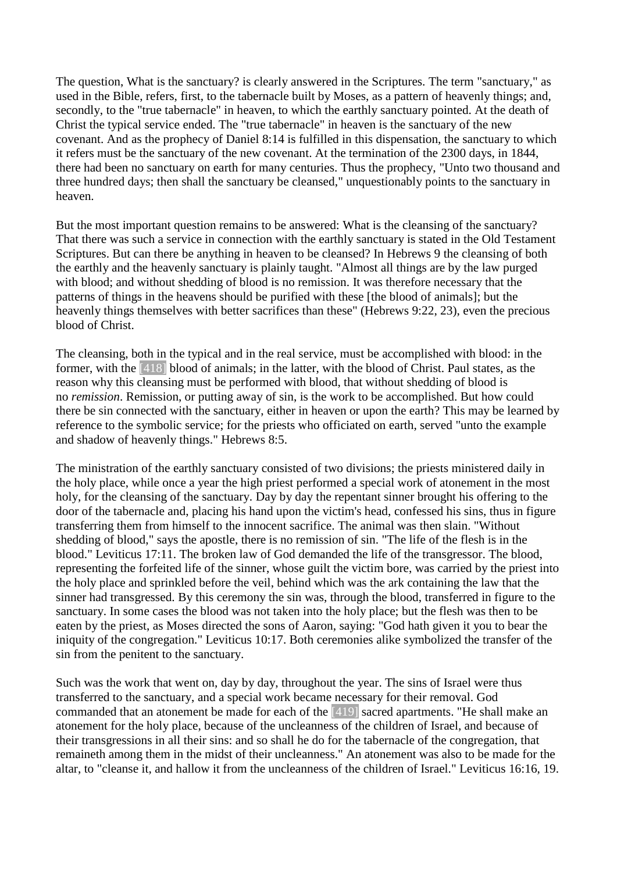The question, What is the sanctuary? is clearly answered in the Scriptures. The term "sanctuary," as used in the Bible, refers, first, to the tabernacle built by Moses, as a pattern of heavenly things; and, secondly, to the "true tabernacle" in heaven, to which the earthly sanctuary pointed. At the death of Christ the typical service ended. The "true tabernacle" in heaven is the sanctuary of the new covenant. And as the prophecy of Daniel 8:14 is fulfilled in this dispensation, the sanctuary to which it refers must be the sanctuary of the new covenant. At the termination of the 2300 days, in 1844, there had been no sanctuary on earth for many centuries. Thus the prophecy, "Unto two thousand and three hundred days; then shall the sanctuary be cleansed," unquestionably points to the sanctuary in heaven.

But the most important question remains to be answered: What is the cleansing of the sanctuary? That there was such a service in connection with the earthly sanctuary is stated in the Old Testament Scriptures. But can there be anything in heaven to be cleansed? In Hebrews 9 the cleansing of both the earthly and the heavenly sanctuary is plainly taught. "Almost all things are by the law purged with blood; and without shedding of blood is no remission. It was therefore necessary that the patterns of things in the heavens should be purified with these [the blood of animals]; but the heavenly things themselves with better sacrifices than these" (Hebrews 9:22, 23), even the precious blood of Christ.

The cleansing, both in the typical and in the real service, must be accomplished with blood: in the former, with the [418] blood of animals; in the latter, with the blood of Christ. Paul states, as the reason why this cleansing must be performed with blood, that without shedding of blood is no *remission*. Remission, or putting away of sin, is the work to be accomplished. But how could there be sin connected with the sanctuary, either in heaven or upon the earth? This may be learned by reference to the symbolic service; for the priests who officiated on earth, served "unto the example and shadow of heavenly things." Hebrews 8:5.

The ministration of the earthly sanctuary consisted of two divisions; the priests ministered daily in the holy place, while once a year the high priest performed a special work of atonement in the most holy, for the cleansing of the sanctuary. Day by day the repentant sinner brought his offering to the door of the tabernacle and, placing his hand upon the victim's head, confessed his sins, thus in figure transferring them from himself to the innocent sacrifice. The animal was then slain. "Without shedding of blood," says the apostle, there is no remission of sin. "The life of the flesh is in the blood." Leviticus 17:11. The broken law of God demanded the life of the transgressor. The blood, representing the forfeited life of the sinner, whose guilt the victim bore, was carried by the priest into the holy place and sprinkled before the veil, behind which was the ark containing the law that the sinner had transgressed. By this ceremony the sin was, through the blood, transferred in figure to the sanctuary. In some cases the blood was not taken into the holy place; but the flesh was then to be eaten by the priest, as Moses directed the sons of Aaron, saying: "God hath given it you to bear the iniquity of the congregation." Leviticus 10:17. Both ceremonies alike symbolized the transfer of the sin from the penitent to the sanctuary.

Such was the work that went on, day by day, throughout the year. The sins of Israel were thus transferred to the sanctuary, and a special work became necessary for their removal. God commanded that an atonement be made for each of the [419] sacred apartments. "He shall make an atonement for the holy place, because of the uncleanness of the children of Israel, and because of their transgressions in all their sins: and so shall he do for the tabernacle of the congregation, that remaineth among them in the midst of their uncleanness." An atonement was also to be made for the altar, to "cleanse it, and hallow it from the uncleanness of the children of Israel." Leviticus 16:16, 19.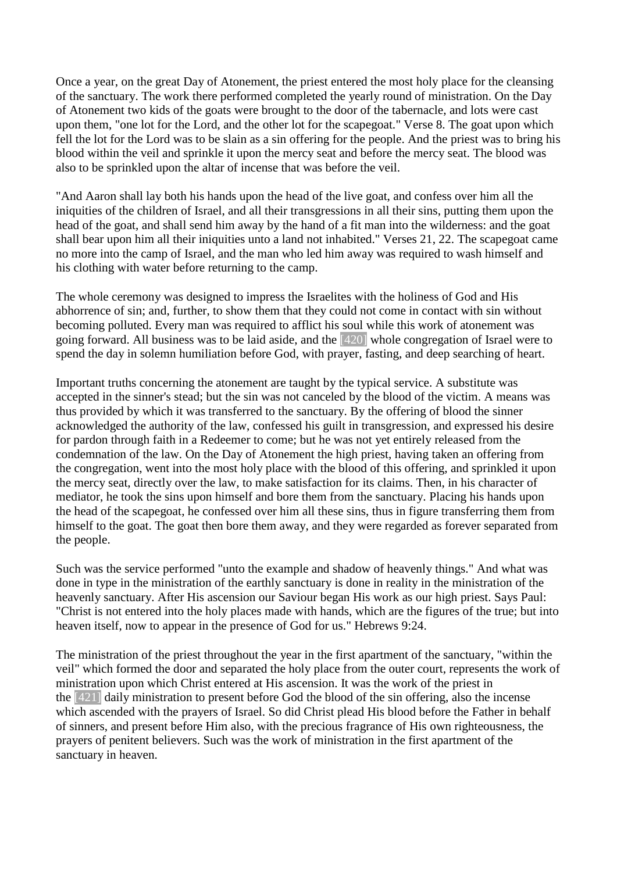Once a year, on the great Day of Atonement, the priest entered the most holy place for the cleansing of the sanctuary. The work there performed completed the yearly round of ministration. On the Day of Atonement two kids of the goats were brought to the door of the tabernacle, and lots were cast upon them, "one lot for the Lord, and the other lot for the scapegoat." Verse 8. The goat upon which fell the lot for the Lord was to be slain as a sin offering for the people. And the priest was to bring his blood within the veil and sprinkle it upon the mercy seat and before the mercy seat. The blood was also to be sprinkled upon the altar of incense that was before the veil.

"And Aaron shall lay both his hands upon the head of the live goat, and confess over him all the iniquities of the children of Israel, and all their transgressions in all their sins, putting them upon the head of the goat, and shall send him away by the hand of a fit man into the wilderness: and the goat shall bear upon him all their iniquities unto a land not inhabited." Verses 21, 22. The scapegoat came no more into the camp of Israel, and the man who led him away was required to wash himself and his clothing with water before returning to the camp.

The whole ceremony was designed to impress the Israelites with the holiness of God and His abhorrence of sin; and, further, to show them that they could not come in contact with sin without becoming polluted. Every man was required to afflict his soul while this work of atonement was going forward. All business was to be laid aside, and the [420] whole congregation of Israel were to spend the day in solemn humiliation before God, with prayer, fasting, and deep searching of heart.

Important truths concerning the atonement are taught by the typical service. A substitute was accepted in the sinner's stead; but the sin was not canceled by the blood of the victim. A means was thus provided by which it was transferred to the sanctuary. By the offering of blood the sinner acknowledged the authority of the law, confessed his guilt in transgression, and expressed his desire for pardon through faith in a Redeemer to come; but he was not yet entirely released from the condemnation of the law. On the Day of Atonement the high priest, having taken an offering from the congregation, went into the most holy place with the blood of this offering, and sprinkled it upon the mercy seat, directly over the law, to make satisfaction for its claims. Then, in his character of mediator, he took the sins upon himself and bore them from the sanctuary. Placing his hands upon the head of the scapegoat, he confessed over him all these sins, thus in figure transferring them from himself to the goat. The goat then bore them away, and they were regarded as forever separated from the people.

Such was the service performed "unto the example and shadow of heavenly things." And what was done in type in the ministration of the earthly sanctuary is done in reality in the ministration of the heavenly sanctuary. After His ascension our Saviour began His work as our high priest. Says Paul: "Christ is not entered into the holy places made with hands, which are the figures of the true; but into heaven itself, now to appear in the presence of God for us." Hebrews 9:24.

The ministration of the priest throughout the year in the first apartment of the sanctuary, "within the veil" which formed the door and separated the holy place from the outer court, represents the work of ministration upon which Christ entered at His ascension. It was the work of the priest in the [421] daily ministration to present before God the blood of the sin offering, also the incense which ascended with the prayers of Israel. So did Christ plead His blood before the Father in behalf of sinners, and present before Him also, with the precious fragrance of His own righteousness, the prayers of penitent believers. Such was the work of ministration in the first apartment of the sanctuary in heaven.